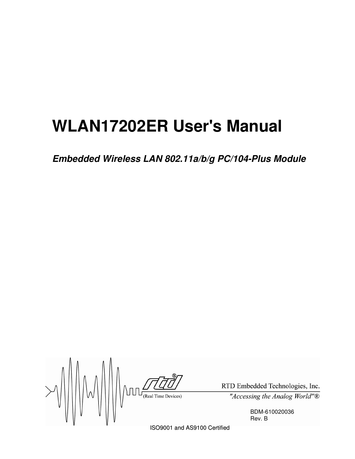# **WLAN17202ER User's Manual**

*Embedded Wireless LAN 802.11a/b/g PC/104-Plus Module*

 $\geq$  $\text{minimize} \ \text{minimize} \ \text{minimize} \ \text{minimize} \ \text{minimize} \ \text{minimize} \ \text{minimize} \ \text{minimize} \ \text{minimize} \ \text{minimize} \ \text{minimize} \ \text{minimize} \ \text{minimize} \ \text{minimize} \ \text{minimize} \ \text{minimize} \ \text{minimize} \ \text{minimize} \ \text{minimize} \ \text{minimize} \ \text{minimize} \ \text{minimize} \ \text{minimize} \ \text{minimize} \ \text{minimize} \ \text{minimize} \ \text{minimize} \ \text{minimize} \ \text{minimize} \ \text{minimize} \ \text{minimize} \ \text{$ 

RTD Embedded Technologies, Inc. "Accessing the Analog World" $\overline{\mathbb{B}}$ 

> BDM-610020036 Rev. B

ISO9001 and AS9100 Certified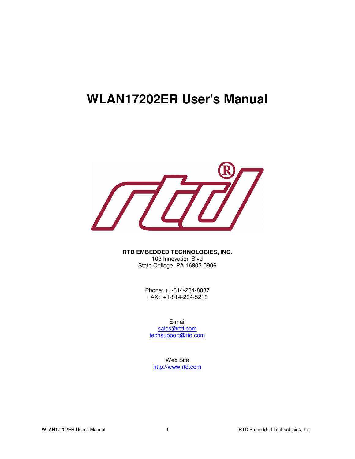# **WLAN17202ER User's Manual**



**RTD EMBEDDED TECHNOLOGIES, INC.** 103 Innovation Blvd State College, PA 16803-0906

> Phone: +1-814-234-8087 FAX: +1-814-234-5218

E-mail sales@rtd.com techsupport@rtd.com

Web Site http://www.rtd.com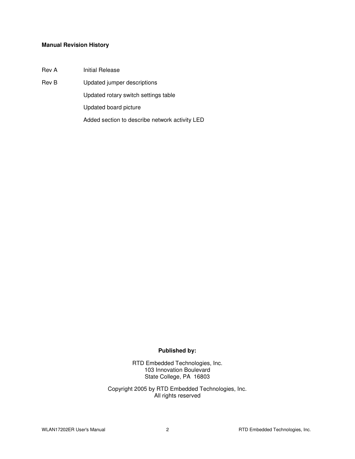#### **Manual Revision History**

Rev A Initial Release

Rev B Updated jumper descriptions

Updated rotary switch settings table

Updated board picture

Added section to describe network activity LED

#### **Published by:**

RTD Embedded Technologies, Inc. 103 Innovation Boulevard State College, PA 16803

Copyright 2005 by RTD Embedded Technologies, Inc. All rights reserved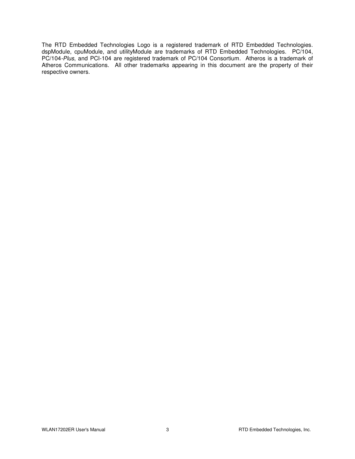The RTD Embedded Technologies Logo is a registered trademark of RTD Embedded Technologies. dspModule, cpuModule, and utilityModule are trademarks of RTD Embedded Technologies. PC/104, PC/104*-Plus*, and PCI-104 are registered trademark of PC/104 Consortium. Atheros is a trademark of Atheros Communications. All other trademarks appearing in this document are the property of their respective owners.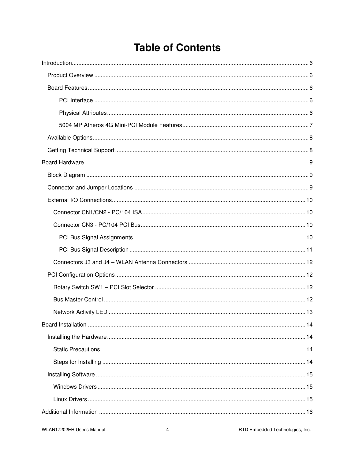# **Table of Contents**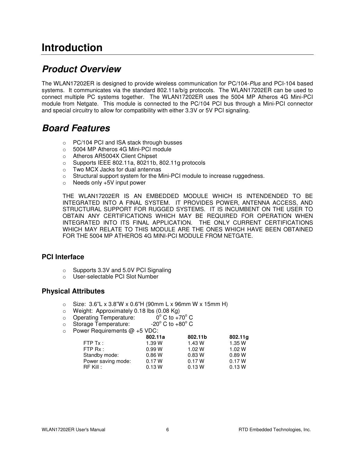# **Introduction**

#### *Product Overview*

The WLAN17202ER is designed to provide wireless communication for PC/104-*Plus* and PCI-104 based systems. It communicates via the standard 802.11a/b/g protocols. The WLAN17202ER can be used to connect multiple PC systems together. The WLAN17202ER uses the 5004 MP Atheros 4G Mini-PCI module from Netgate. This module is connected to the PC/104 PCI bus through a Mini-PCI connector and special circuitry to allow for compatibility with either 3.3V or 5V PCI signaling.

#### *Board Features*

- o PC/104 PCI and ISA stack through busses
- o 5004 MP Atheros 4G Mini-PCI module
- o Atheros AR5004X Client Chipset
- o Supports IEEE 802.11a, 80211b, 802.11g protocols
- o Two MCX Jacks for dual antennas
- $\circ$  Structural support system for the Mini-PCI module to increase ruggedness.
- o Needs only +5V input power

THE WLAN17202ER IS AN EMBEDDED MODULE WHICH IS INTENDENDED TO BE INTEGRATED INTO A FINAL SYSTEM. IT PROVIDES POWER, ANTENNA ACCESS, AND STRUCTURAL SUPPORT FOR RUGGED SYSTEMS. IT IS INCUMBENT ON THE USER TO OBTAIN ANY CERTIFICATIONS WHICH MAY BE REQUIRED FOR OPERATION WHEN INTEGRATED INTO ITS FINAL APPLICATION. THE ONLY CURRENT CERTIFICATIONS WHICH MAY RELATE TO THIS MODULE ARE THE ONES WHICH HAVE BEEN OBTAINED FOR THE 5004 MP ATHEROS 4G MINI-PCI MODULE FROM NETGATE.

#### **PCI Interface**

- o Supports 3.3V and 5.0V PCI Signaling
- o User-selectable PCI Slot Number

#### **Physical Attributes**

- o Size: 3.6"L x 3.8"W x 0.6"H (90mm L x 96mm W x 15mm H)
- $\circ$  Weight: Approximately 0.18 lbs (0.08 Kg)
- o Operating Temperature:  $\degree$  C to  $+70\degree$  C
- o Storage Temperature:  $\degree$  C to +80 $\degree$  C
- $\circ$  Power Requirements  $\omega$  +5 VDC:

|                    | 802.11a | 802.11b | 802.11g |
|--------------------|---------|---------|---------|
| FTPTx:             | 1.39 W  | 1.43 W  | 1.35 W  |
| FTP Rx:            | 0.99 W  | 1.02 W  | 1.02 W  |
| Standby mode:      | 0.86 W  | 0.83W   | 0.89W   |
| Power saving mode: | 0.17 W  | 0.17 W  | 0.17 W  |
| $RF$ Kill :        | 0.13 W  | 0.13W   | 0.13W   |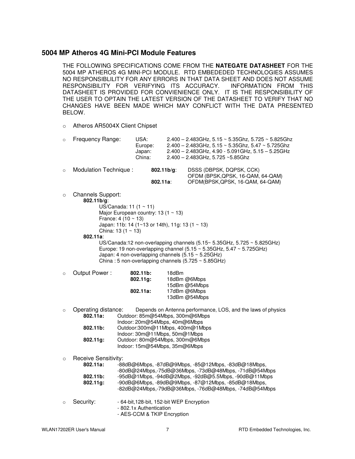#### **5004 MP Atheros 4G Mini-PCI Module Features**

THE FOLLOWING SPECIFICATIONS COME FROM THE **NATEGATE DATASHEET** FOR THE 5004 MP ATHEROS 4G MINI-PCI MODULE. RTD EMBEDEDED TECHNOLOGIES ASSUMES NO RESPONSIBLILITY FOR ANY ERRORS IN THAT DATA SHEET AND DOES NOT ASSUME<br>RESPONSIBILITY FOR VERIFYING ITS ACCURACY. INFORMATION FROM THIS RESPONSIBILITY FOR VERIFYING ITS ACCURACY. DATASHEET IS PROVIDED FOR CONVIENIENCE ONLY. IT IS THE RESPONSIBILITY OF THE USER TO OPTAIN THE LATEST VERSION OF THE DATASHEET TO VERIFY THAT NO CHANGES HAVE BEEN MADE WHICH MAY CONFLICT WITH THE DATA PRESENTED BELOW.

o Atheros AR5004X Client Chipset

| $\circ$ | Frequency Range:                                                                                                                                                                                                                        | USA:<br>Europe:<br>Japan:<br>China: |             | $2.400 - 2.483$ GHz, 5.15 ~ 5.35Ghz, 5.725 ~ 5.825Ghz<br>$2.400 - 2.483$ GHz, $5.15 \sim 5.35$ Ghz, $5.47 \sim 5.725$ Ghz<br>2.400 - 2.483GHz, 4.90 - 5.091GHz, 5.15 - 5.25GHz<br>2.400 - 2.483GHz, 5.725 ~5.85Ghz                                                                                                            |
|---------|-----------------------------------------------------------------------------------------------------------------------------------------------------------------------------------------------------------------------------------------|-------------------------------------|-------------|-------------------------------------------------------------------------------------------------------------------------------------------------------------------------------------------------------------------------------------------------------------------------------------------------------------------------------|
| $\circ$ | Modulation Technique:                                                                                                                                                                                                                   | $802.11a$ :                         | 802.11 b/g: | DSSS (DBPSK, DQPSK, CCK)<br>OFDM (BPSK, QPSK, 16-QAM, 64-QAM)<br>OFDM(BPSK, QPSK, 16-QAM, 64-QAM)                                                                                                                                                                                                                             |
| $\circ$ | <b>Channels Support:</b><br>802.11 b/g:<br>US/Canada: 11 $(1 \sim 11)$<br>Major European country: 13 (1 $\sim$ 13)<br>France: $4(10 \sim 13)$<br>Japan: 11b: 14 (1~13 or 14th), 11g: 13 (1 ~ 13)<br>China: 13 $(1 \sim 13)$<br>802.11a: |                                     |             | US/Canada:12 non-overlapping channels $(5.15 \times 5.35 \text{GHz}, 5.725 \times 5.825 \text{GHz})$<br>Europe: 19 non-overlapping channel (5.15 $\sim$ 5.35GHz, 5.47 $\sim$ 5.725GHz)<br>Japan: 4 non-overlapping channels $(5.15 \sim 5.25 \text{GHz})$<br>China: 5 non-overlapping channels $(5.725 \sim 5.85 \text{GHz})$ |
| $\circ$ | Output Power :                                                                                                                                                                                                                          | $802.11b$ :<br>$802.11g$ :          | 18dBm       | 18dBm @6Mbps                                                                                                                                                                                                                                                                                                                  |

| 18dBm @6Mbps  |
|---------------|
| 15dBm @54Mbps |
| 17dBm @6Mbps  |
| 13dBm @54Mbps |
|               |

| $\circ$ | Operating distance:  | Depends on Antenna performance, LOS, and the laws of physics                 |
|---------|----------------------|------------------------------------------------------------------------------|
|         | $802.11a$ :          | Outdoor: 85m@54Mbps, 300m@6Mbps                                              |
|         |                      | Indoor: 20m@54Mbps, 40m@6Mbps                                                |
|         | $802.11b$ :          | Outdoor:300m@11Mbps, 400m@1Mbps                                              |
|         |                      | Indoor: 30m@11Mbps, 50m@1Mbps                                                |
|         | 802.11q:             | Outdoor: 80m@54Mbps, 300m@6Mbps                                              |
|         |                      | Indoor: 15m@54Mbps, 35m@6Mbps                                                |
|         |                      |                                                                              |
| $\circ$ | Receive Sensitivity: |                                                                              |
|         | 000112               | $0.040$ act these $0.740$ and these $0.6212$ these $0.040$ and $0.101$ these |

|         | $802.11a$ : | $-88$ dB@6Mbps, $-87$ dB@9Mbps, $-85$ @12Mbps, $-83$ dB@18Mbps,   |
|---------|-------------|-------------------------------------------------------------------|
|         |             | -80dB@24Mbps,-75dB@36Mbps, -73dB@48Mbps, -71dB@54Mbps             |
|         | $802.11b$ : | $-95d$ B@1Mbps, $-94d$ B@2Mbps, $-92d$ B@5.5Mbps, $-90d$ B@11Mbps |
|         | $802.11q$ : | -90dB@6Mbps, -89dB@9Mbps, -87@12Mbps, -85dB@18Mbps,               |
|         |             | -82dB@24Mbps,-79dB@36Mbps, -76dB@48Mbps, -74dB@54Mbps             |
|         |             |                                                                   |
| $\circ$ | Security:   | - 64-bit, 128-bit, 152-bit WEP Encryption                         |
|         |             | - 802.1x Authentication                                           |
|         |             | - AES-CCM & TKIP Encryption                                       |
|         |             |                                                                   |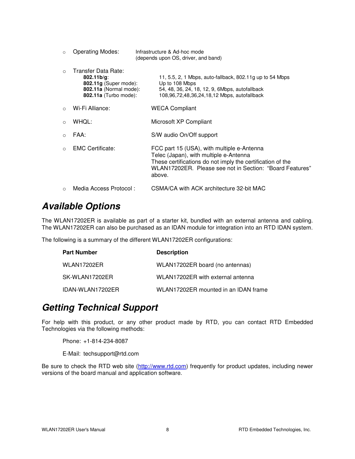| $\circ$   | <b>Operating Modes:</b>                                                                                                  | Infrastructure & Ad-hoc mode<br>(depends upon OS, driver, and band)                                                                                                                                                      |
|-----------|--------------------------------------------------------------------------------------------------------------------------|--------------------------------------------------------------------------------------------------------------------------------------------------------------------------------------------------------------------------|
| $\Omega$  | Transfer Data Rate:<br>$802.11 b/q$ :<br>802.11g (Super mode):<br>802.11a (Normal mode):<br><b>802.11a</b> (Turbo mode): | 11, 5.5, 2, 1 Mbps, auto-fallback, 802.11g up to 54 Mbps<br>Up to 108 Mbps<br>54, 48, 36, 24, 18, 12, 9, 6Mbps, autofallback<br>108,96,72,48,36,24,18,12 Mbps, autofallback                                              |
| $\Omega$  | Wi-Fi Alliance:                                                                                                          | <b>WECA Compliant</b>                                                                                                                                                                                                    |
| $\Omega$  | WHOL:                                                                                                                    | Microsoft XP Compliant                                                                                                                                                                                                   |
| $\bigcap$ | FAA:                                                                                                                     | S/W audio On/Off support                                                                                                                                                                                                 |
| $\Omega$  | <b>EMC Certificate:</b>                                                                                                  | FCC part 15 (USA), with multiple e-Antenna<br>Telec (Japan), with multiple e-Antenna<br>These certifications do not imply the certification of the<br>WLAN17202ER. Please see not in Section: "Board Features"<br>above. |
| $\Omega$  | Media Access Protocol:                                                                                                   | CSMA/CA with ACK architecture 32-bit MAC                                                                                                                                                                                 |

### *Available Options*

The WLAN17202ER is available as part of a starter kit, bundled with an external antenna and cabling. The WLAN17202ER can also be purchased as an IDAN module for integration into an RTD IDAN system.

The following is a summary of the different WLAN17202ER configurations:

| <b>Part Number</b> | <b>Description</b>                   |
|--------------------|--------------------------------------|
| <b>WLAN17202ER</b> | WLAN17202ER board (no antennas)      |
| SK-WLAN17202ER     | WLAN17202ER with external antenna    |
| IDAN-WLAN17202ER   | WLAN17202ER mounted in an IDAN frame |

### *Getting Technical Support*

For help with this product, or any other product made by RTD, you can contact RTD Embedded Technologies via the following methods:

Phone: +1-814-234-8087

E-Mail: techsupport@rtd.com

Be sure to check the RTD web site (http://www.rtd.com) frequently for product updates, including newer versions of the board manual and application software.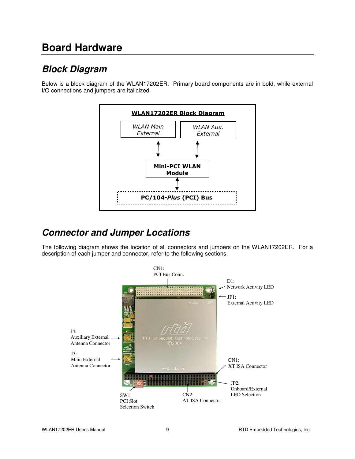# **Board Hardware**

# *Block Diagram*

Below is a block diagram of the WLAN17202ER. Primary board components are in bold, while external I/O connections and jumpers are italicized.



### *Connector and Jumper Locations*

The following diagram shows the location of all connectors and jumpers on the WLAN17202ER. For a description of each jumper and connector, refer to the following sections.

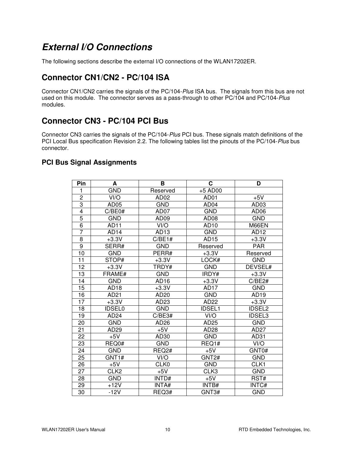### *External I/O Connections*

The following sections describe the external I/O connections of the WLAN17202ER.

#### **Connector CN1/CN2 - PC/104 ISA**

Connector CN1/CN2 carries the signals of the PC/104-*Plus* ISA bus. The signals from this bus are not used on this module. The connector serves as a pass-through to other PC/104 and PC/104-*Plus* modules.

#### **Connector CN3 - PC/104 PCI Bus**

Connector CN3 carries the signals of the PC/104-*Plus* PCI bus. These signals match definitions of the PCI Local Bus specification Revision 2.2. The following tables list the pinouts of the PC/104-*Plus* bus connector.

#### **PCI Bus Signal Assignments**

| Pin             | A                | В                 | $\mathbf{C}$      | D                  |
|-----------------|------------------|-------------------|-------------------|--------------------|
| 1               | <b>GND</b>       | Reserved          | +5 AD00           |                    |
| $\overline{c}$  | VI/O             | AD <sub>02</sub>  | AD <sub>01</sub>  | $+5V$              |
| 3               | AD <sub>05</sub> | <b>GND</b>        | AD <sub>04</sub>  | AD <sub>03</sub>   |
| 4               | C/BE0#           | AD07              | <b>GND</b>        | AD <sub>06</sub>   |
| 5               | <b>GND</b>       | AD <sub>09</sub>  | AD <sub>08</sub>  | <b>GND</b>         |
| $\overline{6}$  | <b>AD11</b>      | VI/O              | AD10              | M66EN              |
| $\overline{7}$  | AD <sub>14</sub> | AD <sub>13</sub>  | <b>GND</b>        | AD12               |
| 8               | $+3.3V$          | C/BE1#            | AD15              | $+3.3\overline{V}$ |
| $\overline{9}$  | SERR#            | <b>GND</b>        | Reserved          | <b>PAR</b>         |
| 10              | <b>GND</b>       | PERR#             | $+3.3V$           | Reserved           |
| 11              | STOP#            | $+3.3V$           | LOCK#             | <b>GND</b>         |
| 12              | $+3.3V$          | TRDY#             | GND               | DEVSEL#            |
| 13              | FRAME#           | <b>GND</b>        | IRDY#             | $+3.3V$            |
| 14              | <b>GND</b>       | AD <sub>16</sub>  | $+3.3V$           | C/BE2#             |
| 15              | AD <sub>18</sub> | $+3.3V$           | AD <sub>17</sub>  | <b>GND</b>         |
| 16              | AD21             | AD20              | <b>GND</b>        | AD <sub>19</sub>   |
| $\overline{17}$ | $+3.3V$          | AD23              | AD <sub>22</sub>  | $+3.3\overline{V}$ |
| 18              | <b>IDSEL0</b>    | <b>GND</b>        | <b>IDSEL1</b>     | <b>IDSEL2</b>      |
| 19              | AD <sub>24</sub> | C/BE3#            | VI/O              | <b>IDSEL3</b>      |
| 20              | <b>GND</b>       | AD <sub>26</sub>  | AD25              | <b>GND</b>         |
| 21              | AD <sub>29</sub> | $+5V$             | AD28              | AD27               |
| 22              | $+5V$            | AD <sub>30</sub>  | <b>GND</b>        | AD31               |
| 23              | REQ0#            | <b>GND</b>        | REQ1#             | VI/O               |
| 24              | <b>GND</b>       | REQ <sub>2#</sub> | $+5V$             | GNT0#              |
| 25              | GNT1#            | VI/O              | GNT <sub>2#</sub> | <b>GND</b>         |
| 26              | $+5V$            | CLK0              | <b>GND</b>        | CLK1               |
| 27              | CLK <sub>2</sub> | $+5V$             | CLK3              | <b>GND</b>         |
| 28              | <b>GND</b>       | INTD#             | $+5V$             | RST#               |
| 29              | $+12V$           | <b>INTA#</b>      | INTB#             | INTC#              |
| 30              | $-12V$           | REQ3#             | GNT3#             | <b>GND</b>         |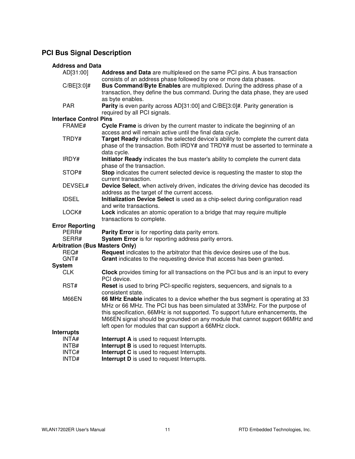#### **PCI Bus Signal Description**

| <b>Address and Data</b> |  |  |
|-------------------------|--|--|
|                         |  |  |

| AD[31:00]                             | Address and Data are multiplexed on the same PCI pins. A bus transaction<br>consists of an address phase followed by one or more data phases.                                                                                                                                                                                                                                           |
|---------------------------------------|-----------------------------------------------------------------------------------------------------------------------------------------------------------------------------------------------------------------------------------------------------------------------------------------------------------------------------------------------------------------------------------------|
| $C/BE[3:0]$ #                         | Bus Command/Byte Enables are multiplexed. During the address phase of a<br>transaction, they define the bus command. During the data phase, they are used<br>as byte enables.                                                                                                                                                                                                           |
| <b>PAR</b>                            | Parity is even parity across AD[31:00] and C/BE[3:0]#. Parity generation is<br>required by all PCI signals.                                                                                                                                                                                                                                                                             |
| <b>Interface Control Pins</b>         |                                                                                                                                                                                                                                                                                                                                                                                         |
| FRAME#                                | Cycle Frame is driven by the current master to indicate the beginning of an                                                                                                                                                                                                                                                                                                             |
|                                       | access and will remain active until the final data cycle.                                                                                                                                                                                                                                                                                                                               |
| TRDY#                                 | Target Ready indicates the selected device's ability to complete the current data<br>phase of the transaction. Both IRDY# and TRDY# must be asserted to terminate a<br>data cycle.                                                                                                                                                                                                      |
| IRDY#                                 | Initiator Ready indicates the bus master's ability to complete the current data<br>phase of the transaction.                                                                                                                                                                                                                                                                            |
| STOP#                                 | Stop indicates the current selected device is requesting the master to stop the<br>current transaction.                                                                                                                                                                                                                                                                                 |
| DEVSEL#                               | Device Select, when actively driven, indicates the driving device has decoded its<br>address as the target of the current access.                                                                                                                                                                                                                                                       |
| <b>IDSEL</b>                          | Initialization Device Select is used as a chip-select during configuration read<br>and write transactions.                                                                                                                                                                                                                                                                              |
| LOCK#                                 | <b>Lock</b> indicates an atomic operation to a bridge that may require multiple<br>transactions to complete.                                                                                                                                                                                                                                                                            |
| <b>Error Reporting</b>                |                                                                                                                                                                                                                                                                                                                                                                                         |
| PERR#                                 | <b>Parity Error</b> is for reporting data parity errors.                                                                                                                                                                                                                                                                                                                                |
| SERR#                                 | System Error is for reporting address parity errors.                                                                                                                                                                                                                                                                                                                                    |
| <b>Arbitration (Bus Masters Only)</b> |                                                                                                                                                                                                                                                                                                                                                                                         |
| REQ#                                  | Request indicates to the arbitrator that this device desires use of the bus.                                                                                                                                                                                                                                                                                                            |
| GNT#                                  | Grant indicates to the requesting device that access has been granted.                                                                                                                                                                                                                                                                                                                  |
| <b>System</b>                         |                                                                                                                                                                                                                                                                                                                                                                                         |
| <b>CLK</b>                            | <b>Clock</b> provides timing for all transactions on the PCI bus and is an input to every<br>PCI device.                                                                                                                                                                                                                                                                                |
| RST#                                  | Reset is used to bring PCI-specific registers, sequencers, and signals to a<br>consistent state.                                                                                                                                                                                                                                                                                        |
| M66EN                                 | 66 MHz Enable indicates to a device whether the bus segment is operating at 33<br>MHz or 66 MHz. The PCI bus has been simulated at 33MHz. For the purpose of<br>this specification, 66MHz is not supported. To support future enhancements, the<br>M66EN signal should be grounded on any module that cannot support 66MHz and<br>left open for modules that can support a 66MHz clock. |
| <b>Interrupts</b>                     |                                                                                                                                                                                                                                                                                                                                                                                         |
| INTA#                                 | Interrupt A is used to request Interrupts.                                                                                                                                                                                                                                                                                                                                              |
| INTB#                                 | Interrupt B is used to request Interrupts.                                                                                                                                                                                                                                                                                                                                              |
| INTC#                                 | Interrupt C is used to request Interrupts.                                                                                                                                                                                                                                                                                                                                              |
| INTD#                                 | Interrupt D is used to request Interrupts.                                                                                                                                                                                                                                                                                                                                              |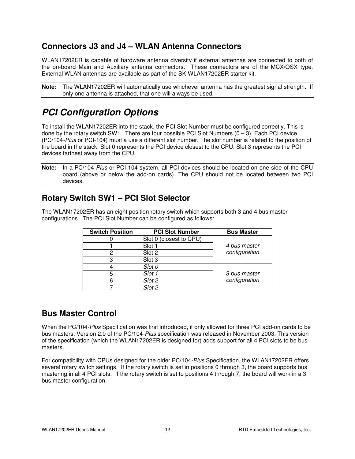#### **Connectors J3 and J4 – WLAN Antenna Connectors**

WLAN17202ER is capable of hardware antenna diversity if external antennas are connected to both of the on-board Main and Auxiliary antenna connectors. These connectors are of the MCX/OSX type. External WLAN antennas are available as part of the SK-WLAN17202ER starter kit.

**Note:** The WLAN17202ER will automatically use whichever antenna has the greatest signal strength. If only one antenna is attached, that one will always be used.

### *PCI Configuration Options*

To install the WLAN17202ER into the stack, the PCI Slot Number must be configured correctly. This is done by the rotary switch SW1. There are four possible PCI Slot Numbers  $(0 - 3)$ . Each PCI device (PC/104*-Plus* or PCI-104) must a use a different slot number. The slot number is related to the position of the board in the stack. Slot 0 represents the PCI device closest to the CPU. Slot 3 represents the PCI devices farthest away from the CPU.

**Note:** In a PC/104-*Plus* or PCI-104 system, all PCI devices should be located on one side of the CPU board (above or below the add-on cards). The CPU should not be located between two PCI devices.

#### **Rotary Switch SW1 – PCI Slot Selector**

The WLAN17202ER has an eight position rotary switch which supports both 3 and 4 bus master configurations. The PCI Slot Number can be configured as follows:

| <b>Switch Position</b> | <b>PCI Slot Number</b>  | <b>Bus Master</b> |
|------------------------|-------------------------|-------------------|
|                        | Slot 0 (closest to CPU) |                   |
|                        | Slot 1                  | 4 bus master      |
|                        | Slot 2                  | configuration     |
|                        | Slot 3                  |                   |
|                        | Slot 0                  |                   |
|                        | Slot 1                  | 3 bus master      |
|                        | Slot 2                  | configuration     |
|                        | Slot $\overline{2}$     |                   |

#### **Bus Master Control**

When the PC/104*-Plus* Specification was first introduced, it only allowed for three PCI add-on cards to be bus masters. Version 2.0 of the PC/104*-Plus* specification was released in November 2003. This version of the specification (which the WLAN17202ER is designed for) adds support for all 4 PCI slots to be bus masters.

For compatibility with CPUs designed for the older PC/104*-Plus* Specification, the WLAN17202ER offers several rotary switch settings. If the rotary switch is set in positions 0 through 3, the board supports bus mastering in all 4 PCI slots. If the rotary switch is set to positions 4 through 7, the board will work in a 3 bus master configuration.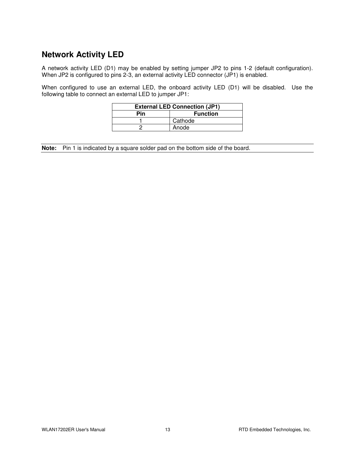#### **Network Activity LED**

A network activity LED (D1) may be enabled by setting jumper JP2 to pins 1-2 (default configuration). When JP2 is configured to pins 2-3, an external activity LED connector (JP1) is enabled.

When configured to use an external LED, the onboard activity LED (D1) will be disabled. Use the following table to connect an external LED to jumper JP1:

| <b>External LED Connection (JP1)</b> |                 |  |
|--------------------------------------|-----------------|--|
| Pin                                  | <b>Function</b> |  |
|                                      | Cathode         |  |
|                                      | Anode           |  |

**Note:** Pin 1 is indicated by a square solder pad on the bottom side of the board.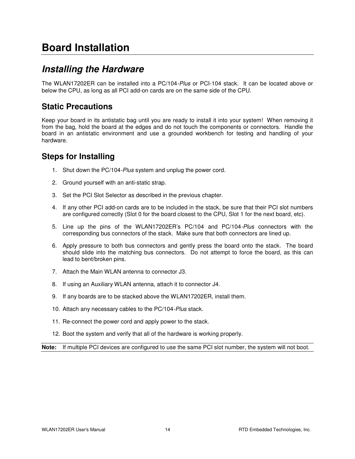# **Board Installation**

### *Installing the Hardware*

The WLAN17202ER can be installed into a PC/104*-Plus* or PCI-104 stack. It can be located above or below the CPU, as long as all PCI add-on cards are on the same side of the CPU.

#### **Static Precautions**

Keep your board in its antistatic bag until you are ready to install it into your system! When removing it from the bag, hold the board at the edges and do not touch the components or connectors. Handle the board in an antistatic environment and use a grounded workbench for testing and handling of your hardware.

#### **Steps for Installing**

- 1. Shut down the PC/104*-Plus* system and unplug the power cord.
- 2. Ground yourself with an anti-static strap.
- 3. Set the PCI Slot Selector as described in the previous chapter.
- 4. If any other PCI add-on cards are to be included in the stack, be sure that their PCI slot numbers are configured correctly (Slot 0 for the board closest to the CPU, Slot 1 for the next board, etc).
- 5. Line up the pins of the WLAN17202ER's PC/104 and PC/104*-Plus* connectors with the corresponding bus connectors of the stack. Make sure that both connectors are lined up.
- 6. Apply pressure to both bus connectors and gently press the board onto the stack. The board should slide into the matching bus connectors. Do not attempt to force the board, as this can lead to bent/broken pins.
- 7. Attach the Main WLAN antenna to connector J3.
- 8. If using an Auxiliary WLAN antenna, attach it to connector J4.
- 9. If any boards are to be stacked above the WLAN17202ER, install them.
- 10. Attach any necessary cables to the PC/104*-Plus* stack.
- 11. Re-connect the power cord and apply power to the stack.
- 12. Boot the system and verify that all of the hardware is working properly.

**Note:** If multiple PCI devices are configured to use the same PCI slot number, the system will not boot.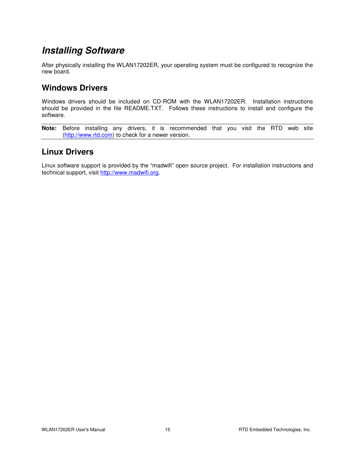### *Installing Software*

After physically installing the WLAN17202ER, your operating system must be configured to recognize the new board.

#### **Windows Drivers**

Windows drivers should be included on CD-ROM with the WLAN17202ER. Installation instructions should be provided in the file README.TXT. Follows these instructions to install and configure the software.

**Note:** Before installing any drivers, it is recommended that you visit the RTD web site (http://www.rtd.com) to check for a newer version.

#### **Linux Drivers**

Linux software support is provided by the "madwifi" open source project. For installation instructions and technical support, visit http://www.madwifi.org.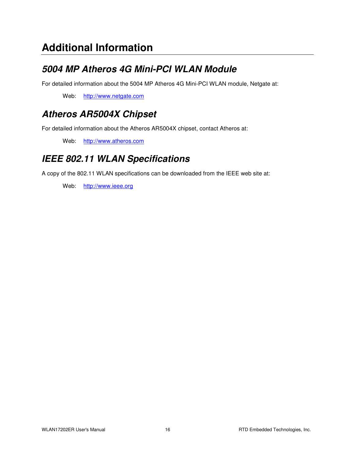# **Additional Information**

# *5004 MP Atheros 4G Mini-PCI WLAN Module*

For detailed information about the 5004 MP Atheros 4G Mini-PCI WLAN module, Netgate at:

Web: http://www.netgate.com

# *Atheros AR5004X Chipset*

For detailed information about the Atheros AR5004X chipset, contact Atheros at:

Web: http://www.atheros.com

### *IEEE 802.11 WLAN Specifications*

A copy of the 802.11 WLAN specifications can be downloaded from the IEEE web site at:

Web: http://www.ieee.org